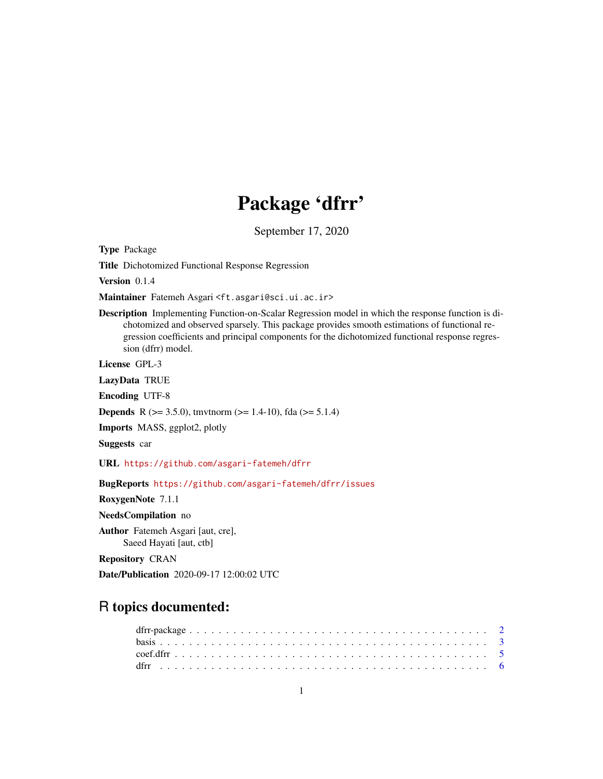# Package 'dfrr'

September 17, 2020

<span id="page-0-0"></span>Type Package

Title Dichotomized Functional Response Regression

Version 0.1.4

Maintainer Fatemeh Asgari <ft.asgari@sci.ui.ac.ir>

Description Implementing Function-on-Scalar Regression model in which the response function is dichotomized and observed sparsely. This package provides smooth estimations of functional regression coefficients and principal components for the dichotomized functional response regression (dfrr) model.

License GPL-3

LazyData TRUE

Encoding UTF-8

**Depends** R ( $>= 3.5.0$ ), tmvtnorm ( $>= 1.4-10$ ), fda ( $>= 5.1.4$ )

Imports MASS, ggplot2, plotly

Suggests car

URL <https://github.com/asgari-fatemeh/dfrr>

BugReports <https://github.com/asgari-fatemeh/dfrr/issues>

RoxygenNote 7.1.1

NeedsCompilation no

Author Fatemeh Asgari [aut, cre], Saeed Hayati [aut, ctb]

Repository CRAN

Date/Publication 2020-09-17 12:00:02 UTC

# R topics documented: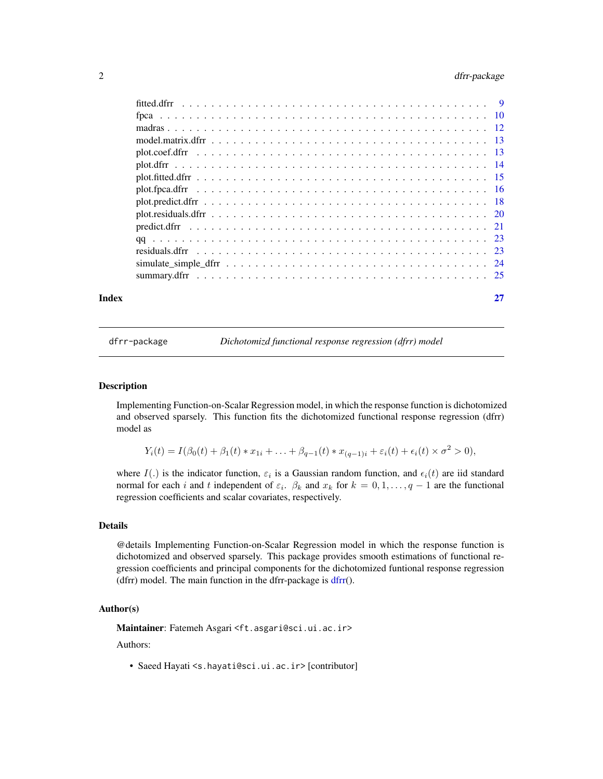# <span id="page-1-0"></span>2 dfrr-package

| Index |  |
|-------|--|
|       |  |
|       |  |
|       |  |
|       |  |
|       |  |
|       |  |
|       |  |
|       |  |
|       |  |
|       |  |
|       |  |
|       |  |
|       |  |
|       |  |
|       |  |

dfrr-package *Dichotomizd functional response regression (dfrr) model*

#### Description

Implementing Function-on-Scalar Regression model, in which the response function is dichotomized and observed sparsely. This function fits the dichotomized functional response regression (dfrr) model as

 $Y_i(t) = I(\beta_0(t) + \beta_1(t) * x_{1i} + \ldots + \beta_{q-1}(t) * x_{(q-1)i} + \varepsilon_i(t) + \epsilon_i(t) \times \sigma^2 > 0),$ 

where  $I(.)$  is the indicator function,  $\varepsilon_i$  is a Gaussian random function, and  $\epsilon_i(t)$  are iid standard normal for each i and t independent of  $\varepsilon_i$ .  $\beta_k$  and  $x_k$  for  $k = 0, 1, \dots, q-1$  are the functional regression coefficients and scalar covariates, respectively.

#### Details

@details Implementing Function-on-Scalar Regression model in which the response function is dichotomized and observed sparsely. This package provides smooth estimations of functional regression coefficients and principal components for the dichotomized funtional response regression (dfrr) model. The main function in the dfrr-package is  $dfrr()$  $dfrr()$ .

#### Author(s)

Maintainer: Fatemeh Asgari <ft.asgari@sci.ui.ac.ir>

Authors:

• Saeed Hayati <s.hayati@sci.ui.ac.ir> [contributor]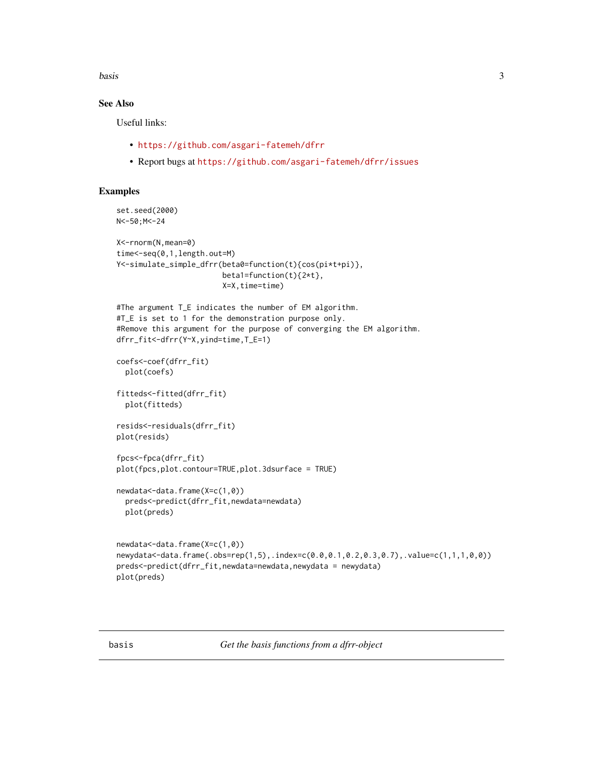<span id="page-2-0"></span>basis 3

# See Also

Useful links:

set.seed(2000)

- <https://github.com/asgari-fatemeh/dfrr>
- Report bugs at <https://github.com/asgari-fatemeh/dfrr/issues>

#### Examples

```
N<-50;M<-24
X<-rnorm(N,mean=0)
time<-seq(0,1,length.out=M)
Y<-simulate_simple_dfrr(beta0=function(t){cos(pi*t+pi)},
                        beta1=function(t){2*t},
                        X=X,time=time)
#The argument T_E indicates the number of EM algorithm.
#T_E is set to 1 for the demonstration purpose only.
#Remove this argument for the purpose of converging the EM algorithm.
dfrr_fit<-dfrr(Y~X,yind=time,T_E=1)
coefs<-coef(dfrr_fit)
 plot(coefs)
fitteds<-fitted(dfrr_fit)
 plot(fitteds)
resids<-residuals(dfrr_fit)
plot(resids)
fpcs<-fpca(dfrr_fit)
plot(fpcs,plot.contour=TRUE,plot.3dsurface = TRUE)
newdata<-data.frame(X=c(1,0))
 preds<-predict(dfrr_fit,newdata=newdata)
 plot(preds)
newdata<-data.frame(X=c(1,0))
newydata<-data.frame(.obs=rep(1,5),.index=c(0.0,0.1,0.2,0.3,0.7),.value=c(1,1,1,0,0))
preds<-predict(dfrr_fit,newdata=newdata,newydata = newydata)
plot(preds)
```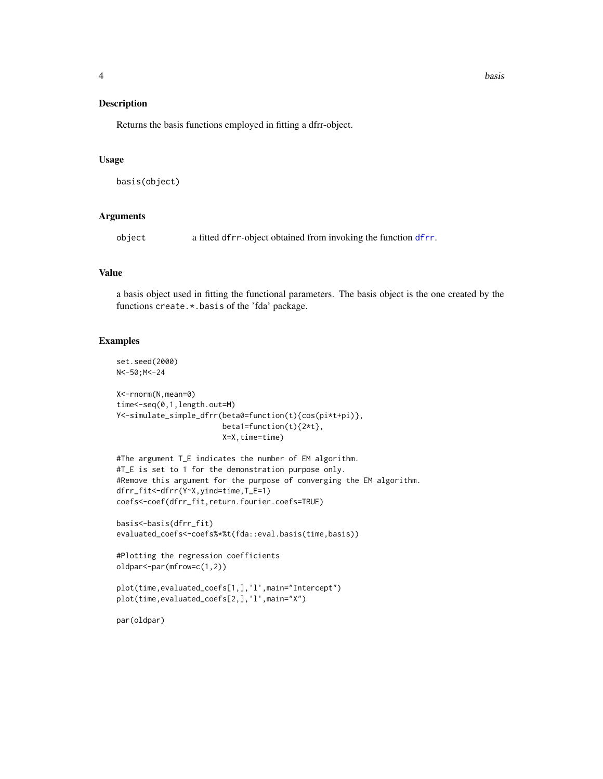#### <span id="page-3-0"></span>Description

Returns the basis functions employed in fitting a dfrr-object.

#### Usage

basis(object)

# Arguments

object a fitted dfrr-object obtained from invoking the function [dfrr](#page-5-1).

#### Value

a basis object used in fitting the functional parameters. The basis object is the one created by the functions create.\*.basis of the 'fda' package.

### Examples

```
set.seed(2000)
N<-50;M<-24
```

```
X<-rnorm(N,mean=0)
time<-seq(0,1,length.out=M)
Y<-simulate_simple_dfrr(beta0=function(t){cos(pi*t+pi)},
                        beta1=function(t){2*t},
                        X=X,time=time)
```

```
#The argument T_E indicates the number of EM algorithm.
#T_E is set to 1 for the demonstration purpose only.
#Remove this argument for the purpose of converging the EM algorithm.
dfrr_fit<-dfrr(Y~X,yind=time,T_E=1)
coefs<-coef(dfrr_fit,return.fourier.coefs=TRUE)
```

```
basis<-basis(dfrr_fit)
evaluated_coefs<-coefs%*%t(fda::eval.basis(time,basis))
```

```
#Plotting the regression coefficients
oldpar<-par(mfrow=c(1,2))
```

```
plot(time,evaluated_coefs[1,],'l',main="Intercept")
plot(time,evaluated_coefs[2,],'l',main="X")
```
par(oldpar)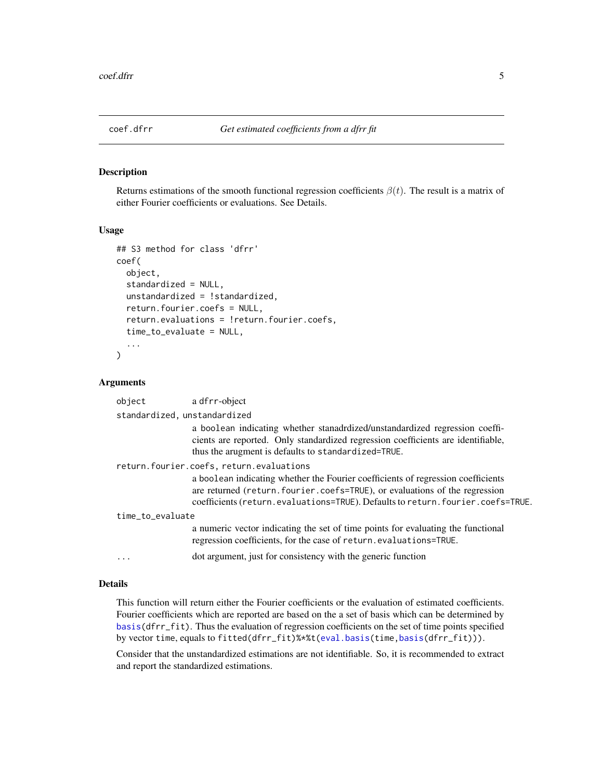<span id="page-4-1"></span><span id="page-4-0"></span>

# Description

Returns estimations of the smooth functional regression coefficients  $\beta(t)$ . The result is a matrix of either Fourier coefficients or evaluations. See Details.

#### Usage

```
## S3 method for class 'dfrr'
coef(
  object,
  standardized = NULL,
  unstandardized = !standardized,
  return.fourier.coefs = NULL,
  return.evaluations = !return.fourier.coefs,
  time_to_evaluate = NULL,
  ...
)
```
#### Arguments

| object                                   | a dfrr-object                                                                                                                                                                                                                                      |  |  |  |  |  |  |
|------------------------------------------|----------------------------------------------------------------------------------------------------------------------------------------------------------------------------------------------------------------------------------------------------|--|--|--|--|--|--|
| standardized, unstandardized             |                                                                                                                                                                                                                                                    |  |  |  |  |  |  |
|                                          | a boolean indicating whether stanadrdized/unstandardized regression coeffi-<br>cients are reported. Only standardized regression coefficients are identifiable,<br>thus the arugment is defaults to standardized=TRUE.                             |  |  |  |  |  |  |
| return.fourier.coefs, return.evaluations |                                                                                                                                                                                                                                                    |  |  |  |  |  |  |
|                                          | a boolean indicating whether the Fourier coefficients of regression coefficients<br>are returned (return. fourier. coefs=TRUE), or evaluations of the regression<br>coefficients (return.evaluations=TRUE). Defaults to return.fourier.coefs=TRUE. |  |  |  |  |  |  |
| time_to_evaluate                         |                                                                                                                                                                                                                                                    |  |  |  |  |  |  |
|                                          | a numeric vector indicating the set of time points for evaluating the functional<br>regression coefficients, for the case of return.evaluations=TRUE.                                                                                              |  |  |  |  |  |  |
| $\cdots$                                 | dot argument, just for consistency with the generic function                                                                                                                                                                                       |  |  |  |  |  |  |

#### Details

This function will return either the Fourier coefficients or the evaluation of estimated coefficients. Fourier coefficients which are reported are based on the a set of basis which can be determined by [basis\(](#page-2-1)dfrr\_fit). Thus the evaluation of regression coefficients on the set of time points specified by vector time, equals to fitted(dfrr\_fit)%\*%t[\(eval.basis\(](#page-0-0)time[,basis\(](#page-2-1)dfrr\_fit))).

Consider that the unstandardized estimations are not identifiable. So, it is recommended to extract and report the standardized estimations.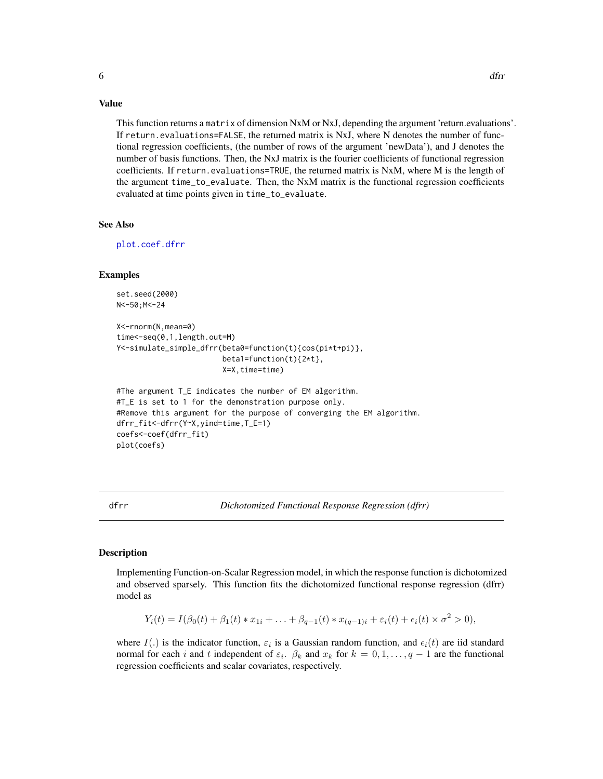# <span id="page-5-0"></span>Value

This function returns a matrix of dimension NxM or NxJ, depending the argument 'return.evaluations'. If return.evaluations=FALSE, the returned matrix is NxJ, where N denotes the number of functional regression coefficients, (the number of rows of the argument 'newData'), and J denotes the number of basis functions. Then, the NxJ matrix is the fourier coefficients of functional regression coefficients. If return.evaluations=TRUE, the returned matrix is NxM, where M is the length of the argument time\_to\_evaluate. Then, the NxM matrix is the functional regression coefficients evaluated at time points given in time\_to\_evaluate.

#### See Also

[plot.coef.dfrr](#page-12-1)

#### Examples

```
set.seed(2000)
N<-50;M<-24
```

```
X<-rnorm(N,mean=0)
time<-seq(0,1,length.out=M)
Y<-simulate_simple_dfrr(beta0=function(t){cos(pi*t+pi)},
                        beta1=function(t){2*t},
                        X=X,time=time)
```

```
#The argument T_E indicates the number of EM algorithm.
#T_E is set to 1 for the demonstration purpose only.
#Remove this argument for the purpose of converging the EM algorithm.
dfrr_fit<-dfrr(Y~X,yind=time,T_E=1)
coefs<-coef(dfrr_fit)
plot(coefs)
```
<span id="page-5-1"></span>

dfrr *Dichotomized Functional Response Regression (dfrr)*

#### Description

Implementing Function-on-Scalar Regression model, in which the response function is dichotomized and observed sparsely. This function fits the dichotomized functional response regression (dfrr) model as

$$
Y_i(t) = I(\beta_0(t) + \beta_1(t) * x_{1i} + \dots + \beta_{q-1}(t) * x_{(q-1)i} + \varepsilon_i(t) + \epsilon_i(t) \times \sigma^2 > 0),
$$

where  $I(.)$  is the indicator function,  $\varepsilon_i$  is a Gaussian random function, and  $\epsilon_i(t)$  are iid standard normal for each i and t independent of  $\varepsilon_i$ .  $\beta_k$  and  $x_k$  for  $k = 0, 1, \dots, q-1$  are the functional regression coefficients and scalar covariates, respectively.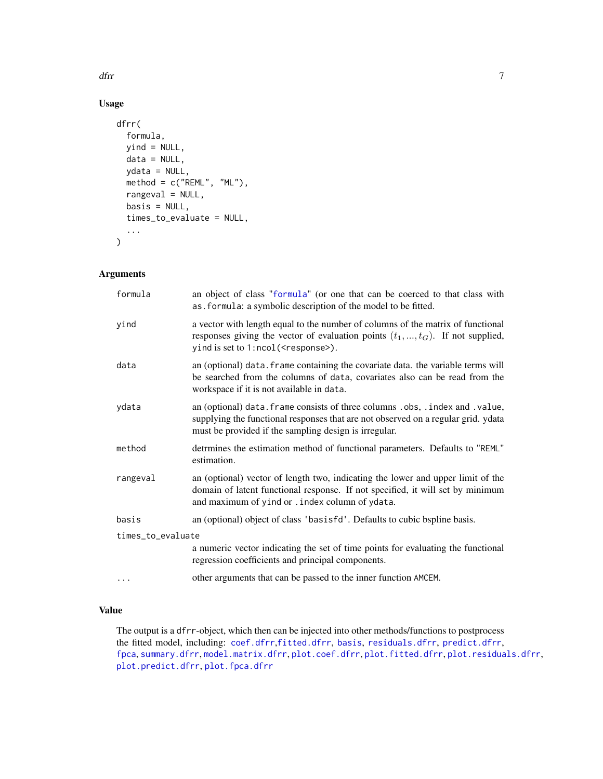# Usage

```
dfrr(
 formula,
 yind = NULL,
 data = NULL,ydata = NULL,
 method = c("REML", "ML"),rangeval = NULL,
 basis = NULL,times_to_evaluate = NULL,
  ...
)
```
# Arguments

| formula           | an object of class "formula" (or one that can be coerced to that class with<br>as. formula: a symbolic description of the model to be fitted.                                                                                 |  |  |  |  |  |
|-------------------|-------------------------------------------------------------------------------------------------------------------------------------------------------------------------------------------------------------------------------|--|--|--|--|--|
| yind              | a vector with length equal to the number of columns of the matrix of functional<br>responses giving the vector of evaluation points $(t_1, , t_G)$ . If not supplied,<br>yind is set to 1:ncol( <response>).</response>       |  |  |  |  |  |
| data              | an (optional) data. frame containing the covariate data. the variable terms will<br>be searched from the columns of data, covariates also can be read from the<br>workspace if it is not available in data.                   |  |  |  |  |  |
| ydata             | an (optional) data. frame consists of three columns . obs, . index and . value,<br>supplying the functional responses that are not observed on a regular grid. ydata<br>must be provided if the sampling design is irregular. |  |  |  |  |  |
| method            | detrmines the estimation method of functional parameters. Defaults to "REML"<br>estimation.                                                                                                                                   |  |  |  |  |  |
| rangeval          | an (optional) vector of length two, indicating the lower and upper limit of the<br>domain of latent functional response. If not specified, it will set by minimum<br>and maximum of yind or . index column of ydata.          |  |  |  |  |  |
| basis             | an (optional) object of class 'basisfd'. Defaults to cubic bspline basis.                                                                                                                                                     |  |  |  |  |  |
| times_to_evaluate |                                                                                                                                                                                                                               |  |  |  |  |  |
|                   | a numeric vector indicating the set of time points for evaluating the functional<br>regression coefficients and principal components.                                                                                         |  |  |  |  |  |
|                   | other arguments that can be passed to the inner function AMCEM.                                                                                                                                                               |  |  |  |  |  |

# Value

The output is a dfrr-object, which then can be injected into other methods/functions to postprocess the fitted model, including: [coef.dfrr](#page-4-1),[fitted.dfrr](#page-8-1), [basis](#page-2-1), [residuals.dfrr](#page-22-1), [predict.dfrr](#page-20-1), [fpca](#page-9-1), [summary.dfrr](#page-24-1), [model.matrix.dfrr](#page-12-2), [plot.coef.dfrr](#page-12-1), [plot.fitted.dfrr](#page-14-1), [plot.residuals.dfrr](#page-19-1), [plot.predict.dfrr](#page-17-1), [plot.fpca.dfrr](#page-15-1)

<span id="page-6-0"></span>dfrr til 1996 og større stofande og større stofande og større stofande og større stofande og stofande og størr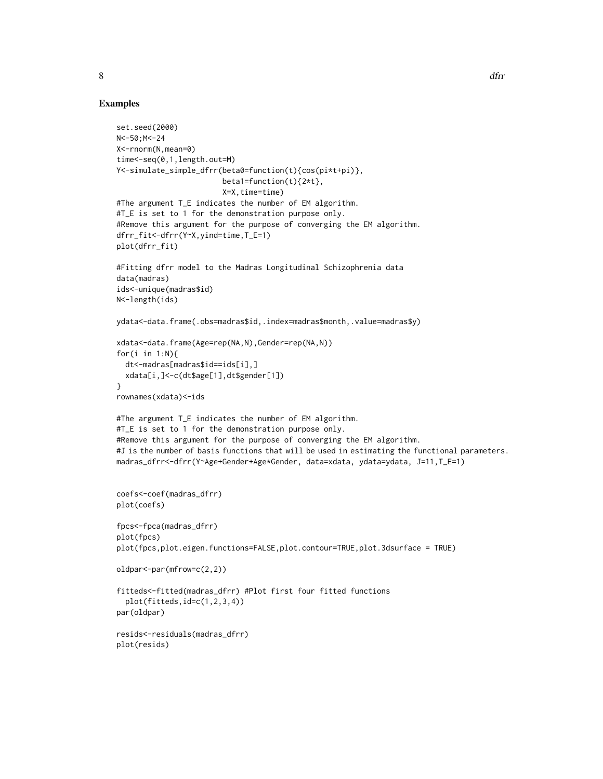#### Examples

```
set.seed(2000)
N<-50;M<-24
X<-rnorm(N,mean=0)
time<-seq(0,1,length.out=M)
Y<-simulate_simple_dfrr(beta0=function(t){cos(pi*t+pi)},
                        beta1=function(t){2*t},
                        X=X,time=time)
#The argument T_E indicates the number of EM algorithm.
#T_E is set to 1 for the demonstration purpose only.
#Remove this argument for the purpose of converging the EM algorithm.
dfrr_fit<-dfrr(Y~X,yind=time,T_E=1)
plot(dfrr_fit)
#Fitting dfrr model to the Madras Longitudinal Schizophrenia data
data(madras)
ids<-unique(madras$id)
N<-length(ids)
ydata<-data.frame(.obs=madras$id,.index=madras$month,.value=madras$y)
xdata<-data.frame(Age=rep(NA,N),Gender=rep(NA,N))
for(i in 1:N}
  dt<-madras[madras$id==ids[i],]
  xdata[i,]<-c(dt$age[1],dt$gender[1])
}
rownames(xdata)<-ids
#The argument T_E indicates the number of EM algorithm.
#T_E is set to 1 for the demonstration purpose only.
#Remove this argument for the purpose of converging the EM algorithm.
#J is the number of basis functions that will be used in estimating the functional parameters.
madras_dfrr<-dfrr(Y~Age+Gender+Age*Gender, data=xdata, ydata=ydata, J=11,T_E=1)
coefs<-coef(madras_dfrr)
plot(coefs)
fpcs<-fpca(madras_dfrr)
plot(fpcs)
plot(fpcs,plot.eigen.functions=FALSE,plot.contour=TRUE,plot.3dsurface = TRUE)
oldpar<-par(mfrow=c(2,2))
fitteds<-fitted(madras_dfrr) #Plot first four fitted functions
  plot(fitteds,id=c(1,2,3,4))
par(oldpar)
resids<-residuals(madras_dfrr)
plot(resids)
```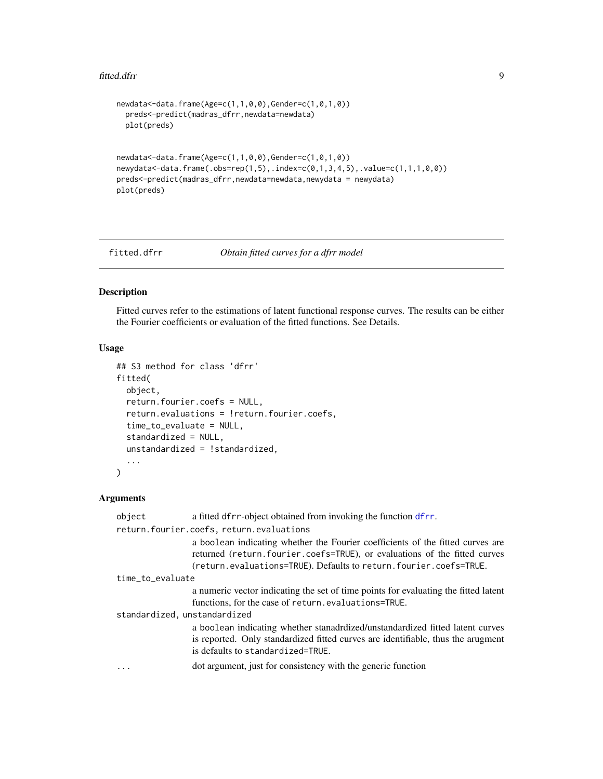#### <span id="page-8-0"></span>fitted.dfrr 9

```
newdata<-data.frame(Age=c(1,1,0,0),Gender=c(1,0,1,0))
 preds<-predict(madras_dfrr,newdata=newdata)
 plot(preds)
newdata<-data.frame(Age=c(1,1,0,0),Gender=c(1,0,1,0))
newydata<-data.frame(.obs=rep(1,5),.index=c(0,1,3,4,5),.value=c(1,1,1,0,0))
preds<-predict(madras_dfrr,newdata=newdata,newydata = newydata)
plot(preds)
```
#### <span id="page-8-1"></span>fitted.dfrr *Obtain fitted curves for a dfrr model*

# Description

Fitted curves refer to the estimations of latent functional response curves. The results can be either the Fourier coefficients or evaluation of the fitted functions. See Details.

#### Usage

```
## S3 method for class 'dfrr'
fitted(
  object,
  return.fourier.coefs = NULL,
  return.evaluations = !return.fourier.coefs,
  time_to_evaluate = NULL,
  standardized = NULL,
  unstandardized = !standardized,
  ...
)
```
#### Arguments

| object                       | a fitted dfrr-object obtained from invoking the function dfrr.                                                                                                                                                                   |
|------------------------------|----------------------------------------------------------------------------------------------------------------------------------------------------------------------------------------------------------------------------------|
|                              | return.fourier.coefs, return.evaluations                                                                                                                                                                                         |
|                              | a boolean indicating whether the Fourier coefficients of the fitted curves are<br>returned (return.fourier.coefs=TRUE), or evaluations of the fitted curves<br>(return.evaluations=TRUE). Defaults to return.fourier.coefs=TRUE. |
| time_to_evaluate             |                                                                                                                                                                                                                                  |
|                              | a numeric vector indicating the set of time points for evaluating the fitted latent<br>functions, for the case of return.evaluations=TRUE.                                                                                       |
| standardized, unstandardized |                                                                                                                                                                                                                                  |
|                              | a boolean indicating whether stanadrdized/unstandardized fitted latent curves<br>is reported. Only standardized fitted curves are identifiable, thus the arugment<br>is defaults to standardized=TRUE.                           |
| .                            | dot argument, just for consistency with the generic function                                                                                                                                                                     |
|                              |                                                                                                                                                                                                                                  |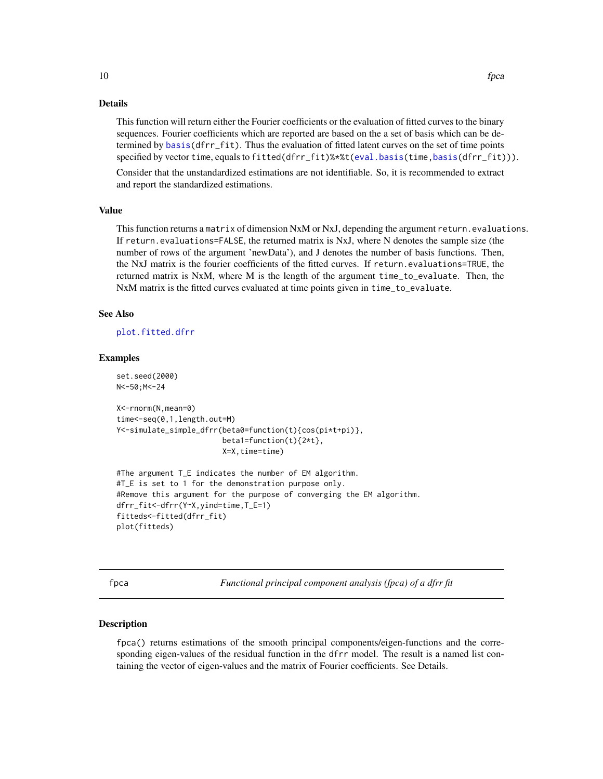# <span id="page-9-0"></span>Details

This function will return either the Fourier coefficients or the evaluation of fitted curves to the binary sequences. Fourier coefficients which are reported are based on the a set of basis which can be determined by [basis\(](#page-2-1)dfrr\_fit). Thus the evaluation of fitted latent curves on the set of time points specified by vector time, equals to fitted(dfrr\_fit)%\*%t[\(eval.basis\(](#page-0-0)time[,basis\(](#page-2-1)dfrr\_fit))).

Consider that the unstandardized estimations are not identifiable. So, it is recommended to extract and report the standardized estimations.

# Value

This function returns a matrix of dimension NxM or NxJ, depending the argument return.evaluations. If return.evaluations=FALSE, the returned matrix is NxJ, where N denotes the sample size (the number of rows of the argument 'newData'), and J denotes the number of basis functions. Then, the NxJ matrix is the fourier coefficients of the fitted curves. If return.evaluations=TRUE, the returned matrix is NxM, where M is the length of the argument time\_to\_evaluate. Then, the NxM matrix is the fitted curves evaluated at time points given in time\_to\_evaluate.

#### See Also

[plot.fitted.dfrr](#page-14-1)

#### Examples

```
set.seed(2000)
N<-50;M<-24
```

```
X<-rnorm(N,mean=0)
time<-seq(0,1,length.out=M)
Y<-simulate_simple_dfrr(beta0=function(t){cos(pi*t+pi)},
                        beta1=function(t){2*t},
                        X=X,time=time)
```

```
#The argument T_E indicates the number of EM algorithm.
#T_E is set to 1 for the demonstration purpose only.
#Remove this argument for the purpose of converging the EM algorithm.
dfrr_fit<-dfrr(Y~X,yind=time,T_E=1)
fitteds<-fitted(dfrr_fit)
plot(fitteds)
```
<span id="page-9-1"></span>

fpca *Functional principal component analysis (fpca) of a dfrr fit*

#### **Description**

fpca() returns estimations of the smooth principal components/eigen-functions and the corresponding eigen-values of the residual function in the dfrr model. The result is a named list containing the vector of eigen-values and the matrix of Fourier coefficients. See Details.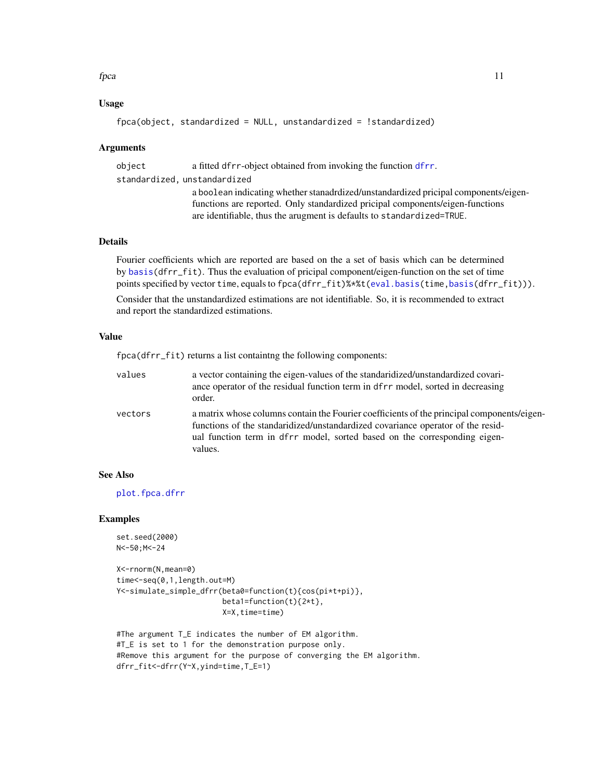#### <span id="page-10-0"></span> $f_{\mathcal{P}}$ ca 11

# Usage

```
fpca(object, standardized = NULL, unstandardized = !standardized)
```
#### Arguments

object a fitted dfrr-object obtained from invoking the function [dfrr](#page-5-1).

standardized, unstandardized

a boolean indicating whether stanadrdized/unstandardized pricipal components/eigenfunctions are reported. Only standardized pricipal components/eigen-functions are identifiable, thus the arugment is defaults to standardized=TRUE.

#### Details

Fourier coefficients which are reported are based on the a set of basis which can be determined by [basis\(](#page-2-1)dfrr\_fit). Thus the evaluation of pricipal component/eigen-function on the set of time points specified by vector time, equals to fpca(dfrr\_fit)%\*%t[\(eval.basis\(](#page-0-0)time[,basis\(](#page-2-1)dfrr\_fit))).

Consider that the unstandardized estimations are not identifiable. So, it is recommended to extract and report the standardized estimations.

#### Value

fpca(dfrr\_fit) returns a list containtng the following components:

| values  | a vector containing the eigen-values of the standardized/unstandardized covari-<br>ance operator of the residual function term in dfrr model, sorted in decreasing<br>order.                                                                                         |
|---------|----------------------------------------------------------------------------------------------------------------------------------------------------------------------------------------------------------------------------------------------------------------------|
| vectors | a matrix whose columns contain the Fourier coefficients of the principal components/eigen-<br>functions of the standardized/unstandardized covariance operator of the resid-<br>ual function term in dfrr model, sorted based on the corresponding eigen-<br>values. |

#### See Also

[plot.fpca.dfrr](#page-15-1)

#### Examples

```
set.seed(2000)
N<-50;M<-24
```
X<-rnorm(N,mean=0) time<-seq(0,1,length.out=M) Y<-simulate\_simple\_dfrr(beta0=function(t){cos(pi\*t+pi)}, beta1=function(t){2\*t}, X=X,time=time)

```
#The argument T_E indicates the number of EM algorithm.
#T_E is set to 1 for the demonstration purpose only.
#Remove this argument for the purpose of converging the EM algorithm.
dfrr_fit<-dfrr(Y~X,yind=time,T_E=1)
```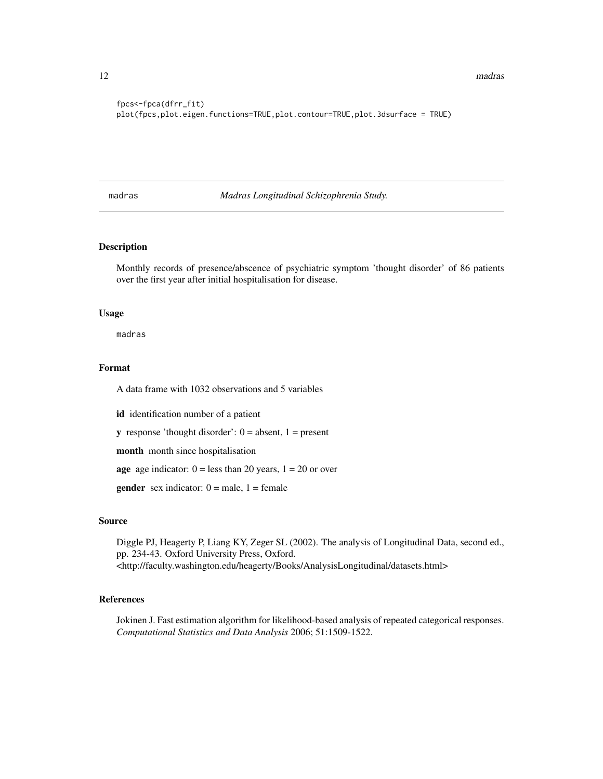<span id="page-11-0"></span>12 madras

fpcs<-fpca(dfrr\_fit) plot(fpcs,plot.eigen.functions=TRUE,plot.contour=TRUE,plot.3dsurface = TRUE)

madras *Madras Longitudinal Schizophrenia Study.*

#### Description

Monthly records of presence/abscence of psychiatric symptom 'thought disorder' of 86 patients over the first year after initial hospitalisation for disease.

#### Usage

madras

# Format

A data frame with 1032 observations and 5 variables

id identification number of a patient

**y** response 'thought disorder':  $0 =$  absent,  $1 =$  present

month month since hospitalisation

age age indicator:  $0 =$  less than 20 years,  $1 = 20$  or over

**gender** sex indicator:  $0 =$  male,  $1 =$  female

#### Source

Diggle PJ, Heagerty P, Liang KY, Zeger SL (2002). The analysis of Longitudinal Data, second ed., pp. 234-43. Oxford University Press, Oxford. <http://faculty.washington.edu/heagerty/Books/AnalysisLongitudinal/datasets.html>

# References

Jokinen J. Fast estimation algorithm for likelihood-based analysis of repeated categorical responses. *Computational Statistics and Data Analysis* 2006; 51:1509-1522.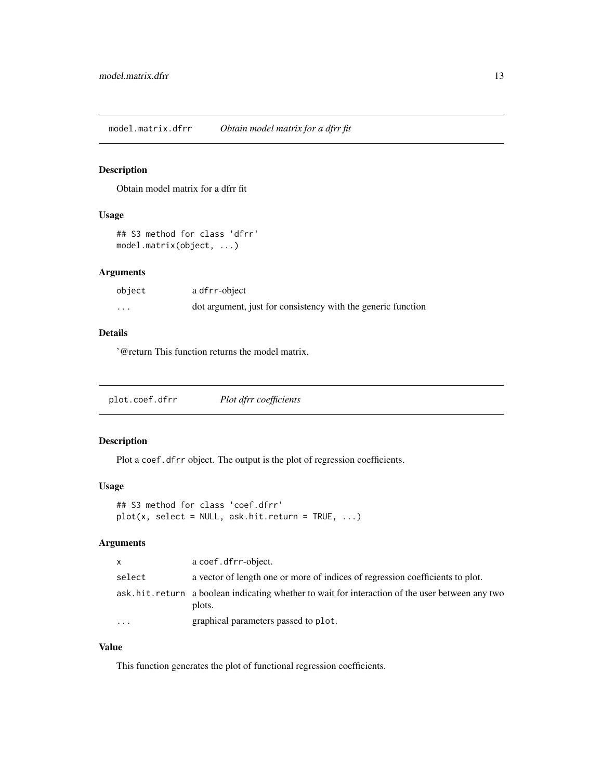<span id="page-12-2"></span><span id="page-12-0"></span>model.matrix.dfrr *Obtain model matrix for a dfrr fit*

# Description

Obtain model matrix for a dfrr fit

#### Usage

```
## S3 method for class 'dfrr'
model.matrix(object, ...)
```
# Arguments

| object   | a dfrr-object                                                |
|----------|--------------------------------------------------------------|
| $\cdots$ | dot argument, just for consistency with the generic function |

# Details

'@return This function returns the model matrix.

<span id="page-12-1"></span>plot.coef.dfrr *Plot dfrr coefficients*

# Description

Plot a coef.dfrr object. The output is the plot of regression coefficients.

#### Usage

```
## S3 method for class 'coef.dfrr'
plot(x, select = NULL, ask.hit.return = TRUE, ...)
```
# Arguments

| X        | a coef.dfrr-object.                                                                                         |
|----------|-------------------------------------------------------------------------------------------------------------|
| select   | a vector of length one or more of indices of regression coefficients to plot.                               |
|          | ask. hit. return a boolean indicating whether to wait for interaction of the user between any two<br>plots. |
| $\cdots$ | graphical parameters passed to plot.                                                                        |

# Value

This function generates the plot of functional regression coefficients.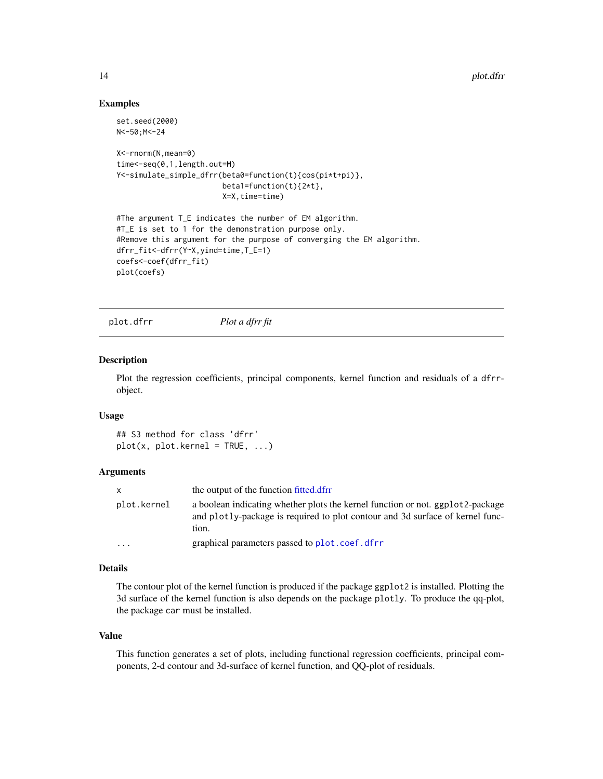#### Examples

```
set.seed(2000)
N<-50;M<-24
X<-rnorm(N,mean=0)
time<-seq(0,1,length.out=M)
Y<-simulate_simple_dfrr(beta0=function(t){cos(pi*t+pi)},
                        beta1=function(t){2*t},
                        X=X,time=time)
#The argument T_E indicates the number of EM algorithm.
#T_E is set to 1 for the demonstration purpose only.
#Remove this argument for the purpose of converging the EM algorithm.
dfrr_fit<-dfrr(Y~X,yind=time,T_E=1)
coefs<-coef(dfrr_fit)
plot(coefs)
```
plot.dfrr *Plot a dfrr fit*

#### Description

Plot the regression coefficients, principal components, kernel function and residuals of a dfrrobject.

# Usage

## S3 method for class 'dfrr'  $plot(x, plot.kernel = TRUE, ...)$ 

#### Arguments

|             | the output of the function fitted.dfrr                                                                                                                                   |
|-------------|--------------------------------------------------------------------------------------------------------------------------------------------------------------------------|
| plot.kernel | a boolean indicating whether plots the kernel function or not. ggplot2-package<br>and plotly-package is required to plot contour and 3d surface of kernel func-<br>tion. |
| .           | graphical parameters passed to plot.coef.dfrr                                                                                                                            |

# Details

The contour plot of the kernel function is produced if the package ggplot2 is installed. Plotting the 3d surface of the kernel function is also depends on the package plotly. To produce the qq-plot, the package car must be installed.

#### Value

This function generates a set of plots, including functional regression coefficients, principal components, 2-d contour and 3d-surface of kernel function, and QQ-plot of residuals.

<span id="page-13-0"></span>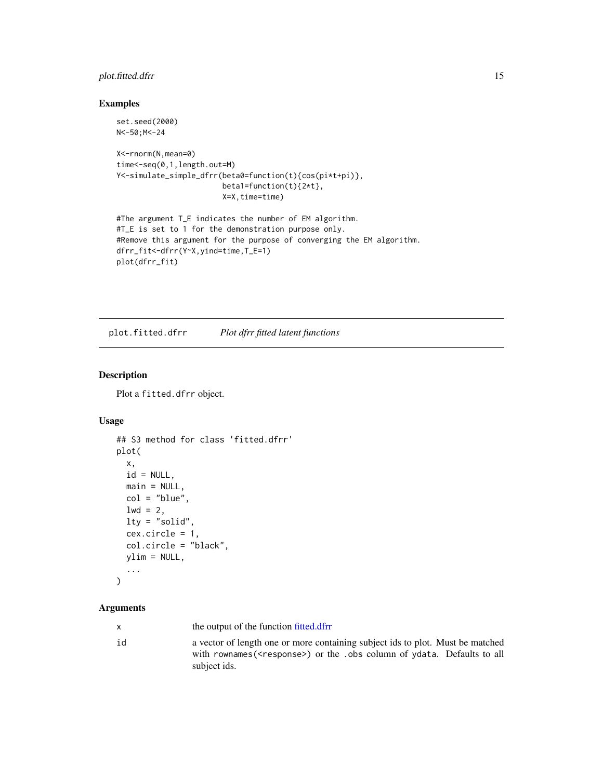# <span id="page-14-0"></span>plot.fitted.dfrr 15

# Examples

```
set.seed(2000)
N<-50;M<-24
```

```
X<-rnorm(N,mean=0)
time<-seq(0,1,length.out=M)
Y<-simulate_simple_dfrr(beta0=function(t){cos(pi*t+pi)},
                        beta1=function(t){2*t},
                        X=X,time=time)
```

```
#The argument T_E indicates the number of EM algorithm.
#T_E is set to 1 for the demonstration purpose only.
#Remove this argument for the purpose of converging the EM algorithm.
dfrr_fit<-dfrr(Y~X,yind=time,T_E=1)
plot(dfrr_fit)
```
<span id="page-14-1"></span>plot.fitted.dfrr *Plot dfrr fitted latent functions*

# Description

Plot a fitted.dfrr object.

# Usage

```
## S3 method for class 'fitted.dfrr'
plot(
 x,
  id = NULL,main = NULL,
  col = "blue",1wd = 2,
  lty = "solid",
  cex.circle = 1,
  col.circle = "black",
 ylim = NULL,
  ...
\mathcal{L}
```
# Arguments

| X  | the output of the function fitted.dfrr                                                                                                                                                 |
|----|----------------------------------------------------------------------------------------------------------------------------------------------------------------------------------------|
| id | a vector of length one or more containing subject ids to plot. Must be matched<br>with rownames ( <response>) or the .obs column of ydata. Defaults to all<br/>subject ids.</response> |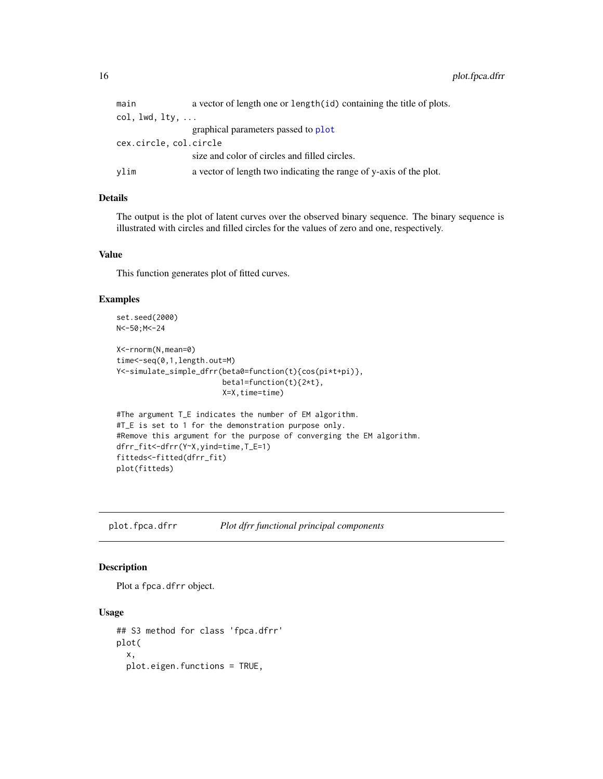<span id="page-15-0"></span>

| main                   | a vector of length one or length (id) containing the title of plots. |  |  |
|------------------------|----------------------------------------------------------------------|--|--|
| col, lwd, lty,         |                                                                      |  |  |
|                        | graphical parameters passed to plot                                  |  |  |
| cex.circle, col.circle |                                                                      |  |  |
|                        | size and color of circles and filled circles.                        |  |  |
| vlim                   | a vector of length two indicating the range of y-axis of the plot.   |  |  |

# Details

The output is the plot of latent curves over the observed binary sequence. The binary sequence is illustrated with circles and filled circles for the values of zero and one, respectively.

#### Value

This function generates plot of fitted curves.

# Examples

```
set.seed(2000)
N<-50;M<-24
```

```
X<-rnorm(N,mean=0)
time<-seq(0,1,length.out=M)
Y<-simulate_simple_dfrr(beta0=function(t){cos(pi*t+pi)},
                        beta1=function(t){2*t},
                        X=X,time=time)
```

```
#The argument T_E indicates the number of EM algorithm.
#T_E is set to 1 for the demonstration purpose only.
#Remove this argument for the purpose of converging the EM algorithm.
dfrr_fit<-dfrr(Y~X,yind=time,T_E=1)
fitteds<-fitted(dfrr_fit)
plot(fitteds)
```
<span id="page-15-1"></span>plot.fpca.dfrr *Plot dfrr functional principal components*

# Description

```
Plot a fpca.dfrr object.
```
# Usage

```
## S3 method for class 'fpca.dfrr'
plot(
  x,
  plot.eigen.functions = TRUE,
```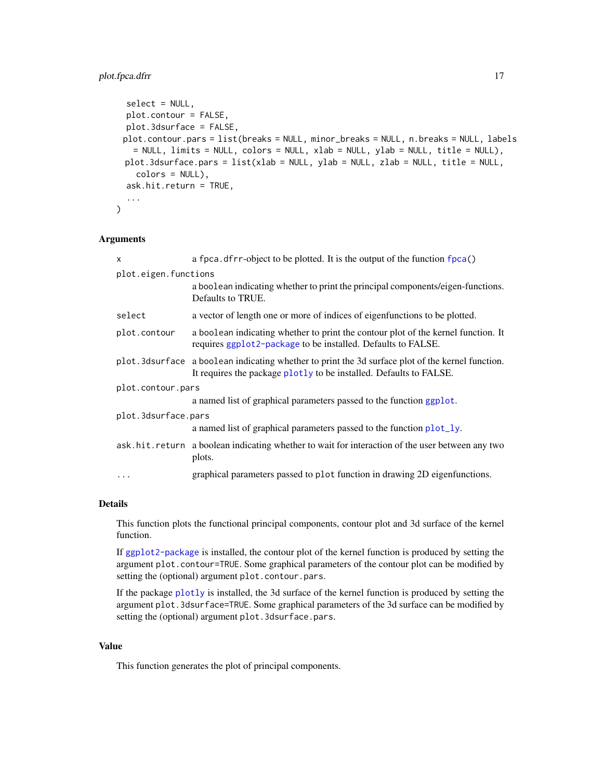# <span id="page-16-0"></span>plot.fpca.dfrr 17

```
select = NULL,
plot.contour = FALSE,
plot.3dsurface = FALSE,
plot.contour.pars = list(breaks = NULL, minor_breaks = NULL, n.breaks = NULL, labels
  = NULL, limits = NULL, colors = NULL, xlab = NULL, ylab = NULL, title = NULL),
plot.3dsurface.pars = list(xlab = NULL, ylab = NULL, zlab = NULL, title = NULL,
  colors = NULL),
ask.hit.return = TRUE,
...
```
# Arguments

)

| $\times$             | a fpca. dfrr-object to be plotted. It is the output of the function fpca()                                                                                              |  |  |  |  |  |
|----------------------|-------------------------------------------------------------------------------------------------------------------------------------------------------------------------|--|--|--|--|--|
| plot.eigen.functions |                                                                                                                                                                         |  |  |  |  |  |
|                      | a boolean indicating whether to print the principal components/eigen-functions.<br>Defaults to TRUE.                                                                    |  |  |  |  |  |
| select               | a vector of length one or more of indices of eigenfunctions to be plotted.                                                                                              |  |  |  |  |  |
| plot.contour         | a boolean indicating whether to print the contour plot of the kernel function. It<br>requires ggplot2-package to be installed. Defaults to FALSE.                       |  |  |  |  |  |
|                      | plot. 3dsurface a boolean indicating whether to print the 3d surface plot of the kernel function.<br>It requires the package plotly to be installed. Defaults to FALSE. |  |  |  |  |  |
| plot.contour.pars    |                                                                                                                                                                         |  |  |  |  |  |
|                      | a named list of graphical parameters passed to the function ggplot.                                                                                                     |  |  |  |  |  |
| plot.3dsurface.pars  |                                                                                                                                                                         |  |  |  |  |  |
|                      | a named list of graphical parameters passed to the function plot_ly.                                                                                                    |  |  |  |  |  |
|                      | ask.hit.return a boolean indicating whether to wait for interaction of the user between any two<br>plots.                                                               |  |  |  |  |  |
| $\cdot$              | graphical parameters passed to plot function in drawing 2D eigenfunctions.                                                                                              |  |  |  |  |  |

#### Details

This function plots the functional principal components, contour plot and 3d surface of the kernel function.

If [ggplot2-package](#page-0-0) is installed, the contour plot of the kernel function is produced by setting the argument plot.contour=TRUE. Some graphical parameters of the contour plot can be modified by setting the (optional) argument plot.contour.pars.

If the package [plotly](#page-0-0) is installed, the 3d surface of the kernel function is produced by setting the argument plot.3dsurface=TRUE. Some graphical parameters of the 3d surface can be modified by setting the (optional) argument plot.3dsurface.pars.

#### Value

This function generates the plot of principal components.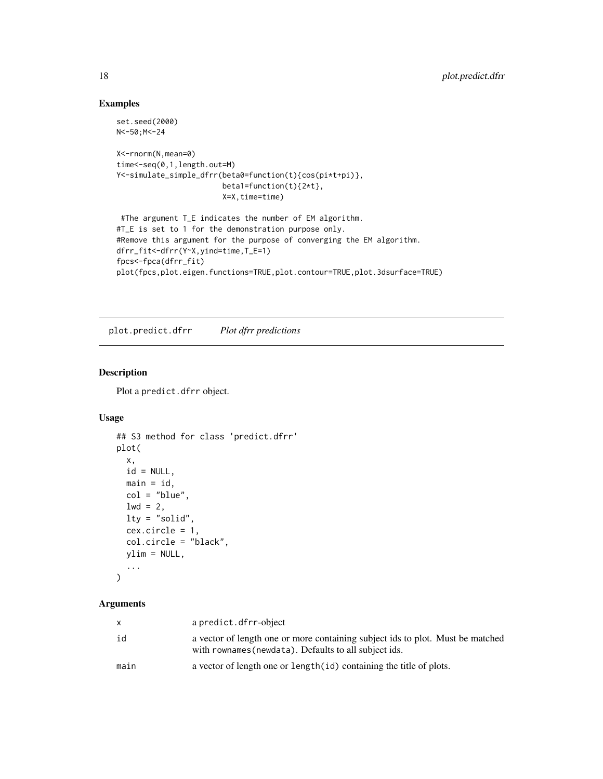# Examples

```
set.seed(2000)
N<-50;M<-24
X<-rnorm(N,mean=0)
time<-seq(0,1,length.out=M)
Y<-simulate_simple_dfrr(beta0=function(t){cos(pi*t+pi)},
                        beta1=function(t){2*t},
                        X=X,time=time)
 #The argument T_E indicates the number of EM algorithm.
#T_E is set to 1 for the demonstration purpose only.
#Remove this argument for the purpose of converging the EM algorithm.
dfrr_fit<-dfrr(Y~X,yind=time,T_E=1)
fpcs<-fpca(dfrr_fit)
plot(fpcs,plot.eigen.functions=TRUE,plot.contour=TRUE,plot.3dsurface=TRUE)
```
<span id="page-17-1"></span>plot.predict.dfrr *Plot dfrr predictions*

# Description

Plot a predict.dfrr object.

# Usage

```
## S3 method for class 'predict.dfrr'
plot(
  x,
 id = NULL,main = id,
 col = "blue",1wd = 2,
 lty = "solid",
 cex.circle = 1,
 col.circle = "black",
 ylim = NULL,
  ...
)
```
### Arguments

|      | a predict.dfrr-object                                                                                                                   |
|------|-----------------------------------------------------------------------------------------------------------------------------------------|
| id   | a vector of length one or more containing subject ids to plot. Must be matched<br>with rownames (newdata). Defaults to all subject ids. |
| main | a vector of length one or length (id) containing the title of plots.                                                                    |

<span id="page-17-0"></span>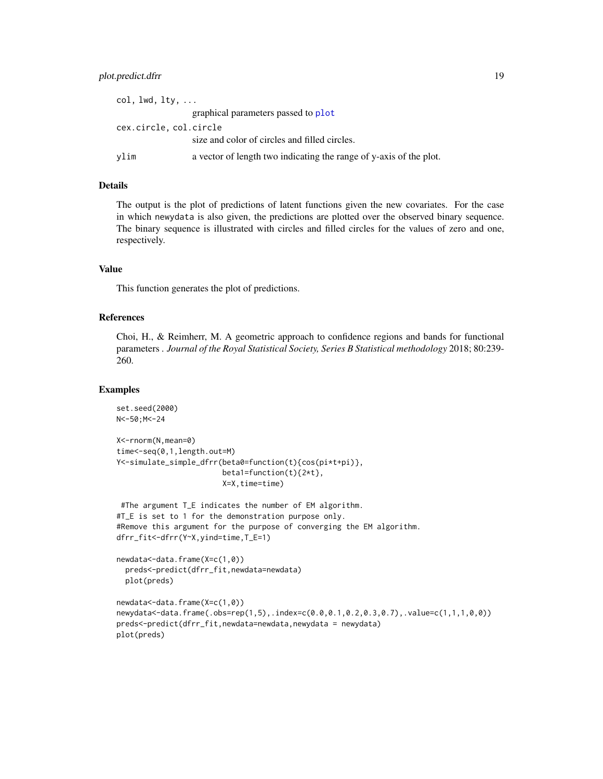<span id="page-18-0"></span>

| $col,$ lwd, $lty,$ $\ldots$ |                                                                    |
|-----------------------------|--------------------------------------------------------------------|
|                             | graphical parameters passed to plot                                |
| cex.circle.col.circle       |                                                                    |
|                             | size and color of circles and filled circles.                      |
| vlim                        | a vector of length two indicating the range of y-axis of the plot. |

### Details

The output is the plot of predictions of latent functions given the new covariates. For the case in which newydata is also given, the predictions are plotted over the observed binary sequence. The binary sequence is illustrated with circles and filled circles for the values of zero and one, respectively.

#### Value

This function generates the plot of predictions.

# References

Choi, H., & Reimherr, M. A geometric approach to confidence regions and bands for functional parameters . *Journal of the Royal Statistical Society, Series B Statistical methodology* 2018; 80:239- 260.

#### Examples

```
set.seed(2000)
N<-50;M<-24
X<-rnorm(N,mean=0)
time<-seq(0,1,length.out=M)
Y<-simulate_simple_dfrr(beta0=function(t){cos(pi*t+pi)},
                        beta1=function(t){2*t},
                        X=X,time=time)
 #The argument T_E indicates the number of EM algorithm.
#T_E is set to 1 for the demonstration purpose only.
#Remove this argument for the purpose of converging the EM algorithm.
dfrr_fit<-dfrr(Y~X,yind=time,T_E=1)
newdata<-data.frame(X=c(1,0))
  preds<-predict(dfrr_fit,newdata=newdata)
  plot(preds)
newdata<-data.frame(X=c(1,0))
newydata<-data.frame(.obs=rep(1,5),.index=c(0.0,0.1,0.2,0.3,0.7),.value=c(1,1,1,0,0))
preds<-predict(dfrr_fit,newdata=newdata,newydata = newydata)
plot(preds)
```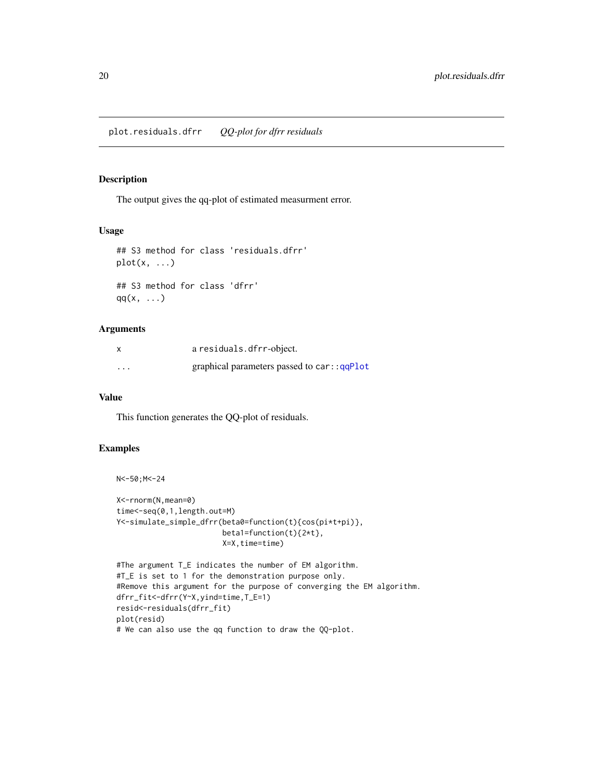# <span id="page-19-2"></span><span id="page-19-1"></span><span id="page-19-0"></span>Description

The output gives the qq-plot of estimated measurment error.

#### Usage

```
## S3 method for class 'residuals.dfrr'
plot(x, \ldots)## S3 method for class 'dfrr'
qq(x, \ldots)
```
#### Arguments

| X                       | a residuals.dfrr-object.                    |
|-------------------------|---------------------------------------------|
| $\cdot$ $\cdot$ $\cdot$ | graphical parameters passed to car:: qqPlot |

#### Value

This function generates the QQ-plot of residuals.

# Examples

```
N<-50;M<-24
```

```
X<-rnorm(N,mean=0)
time<-seq(0,1,length.out=M)
Y<-simulate_simple_dfrr(beta0=function(t){cos(pi*t+pi)},
                       beta1=function(t){2*t},X=X,time=time)
```

```
#The argument T_E indicates the number of EM algorithm.
#T_E is set to 1 for the demonstration purpose only.
#Remove this argument for the purpose of converging the EM algorithm.
dfrr_fit<-dfrr(Y~X,yind=time,T_E=1)
resid<-residuals(dfrr_fit)
plot(resid)
# We can also use the qq function to draw the QQ-plot.
```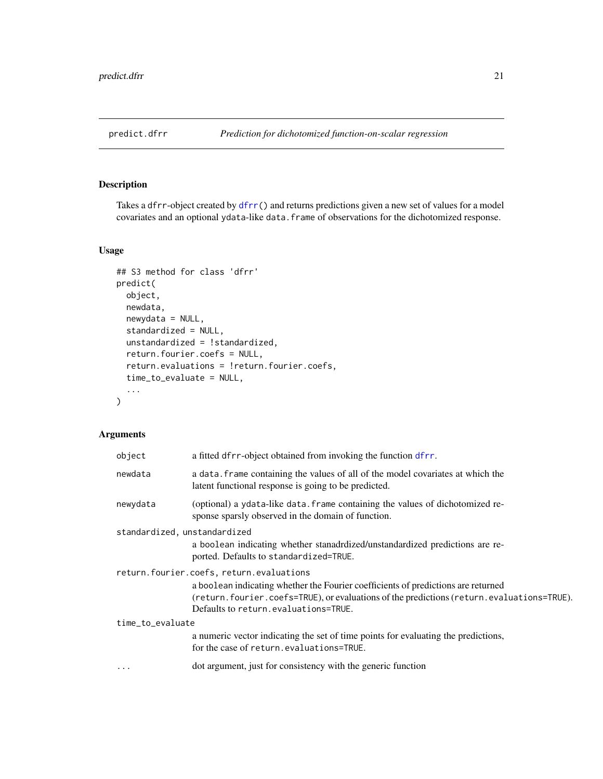<span id="page-20-1"></span><span id="page-20-0"></span>

# Description

Takes a dfrr-object created by [dfrr\(](#page-5-1)) and returns predictions given a new set of values for a model covariates and an optional ydata-like data.frame of observations for the dichotomized response.

# Usage

```
## S3 method for class 'dfrr'
predict(
 object,
 newdata,
  newydata = NULL,
  standardized = NULL,
  unstandardized = !standardized,
  return.fourier.coefs = NULL,
  return.evaluations = !return.fourier.coefs,
  time_to_evaluate = NULL,
  ...
)
```
# Arguments

| object                                   | a fitted dfrr-object obtained from invoking the function dfrr.                                                                                                                                                         |
|------------------------------------------|------------------------------------------------------------------------------------------------------------------------------------------------------------------------------------------------------------------------|
| newdata                                  | a data. frame containing the values of all of the model covariates at which the<br>latent functional response is going to be predicted.                                                                                |
| newydata                                 | (optional) a ydata-like data. frame containing the values of dichotomized re-<br>sponse sparsly observed in the domain of function.                                                                                    |
| standardized, unstandardized             |                                                                                                                                                                                                                        |
|                                          | a boolean indicating whether stanadrdized/unstandardized predictions are re-<br>ported. Defaults to standardized=TRUE.                                                                                                 |
| return.fourier.coefs, return.evaluations |                                                                                                                                                                                                                        |
|                                          | a boolean indicating whether the Fourier coefficients of predictions are returned<br>(return.fourier.coefs=TRUE), or evaluations of the predictions (return.evaluations=TRUE).<br>Defaults to return.evaluations=TRUE. |
| time_to_evaluate                         |                                                                                                                                                                                                                        |
|                                          | a numeric vector indicating the set of time points for evaluating the predictions,<br>for the case of return, evaluations=TRUE.                                                                                        |
| $\cdots$                                 | dot argument, just for consistency with the generic function                                                                                                                                                           |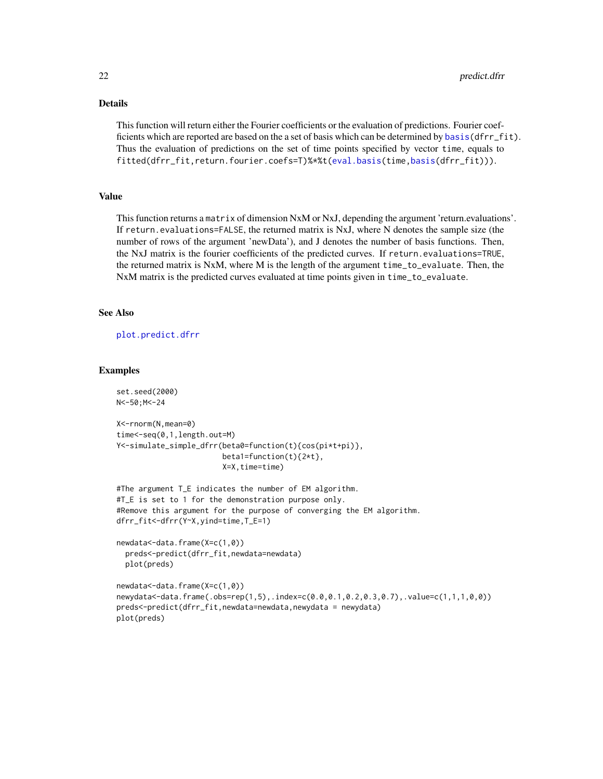# Details

This function will return either the Fourier coefficients or the evaluation of predictions. Fourier coefficients which are reported are based on the a set of basis which can be determined by [basis\(](#page-2-1)dfrr\_fit). Thus the evaluation of predictions on the set of time points specified by vector time, equals to fitted(dfrr\_fit,return.fourier.coefs=T)%\*%t[\(eval.basis\(](#page-0-0)time[,basis\(](#page-2-1)dfrr\_fit))).

# Value

This function returns a matrix of dimension NxM or NxJ, depending the argument 'return.evaluations'. If return.evaluations=FALSE, the returned matrix is NxJ, where N denotes the sample size (the number of rows of the argument 'newData'), and J denotes the number of basis functions. Then, the NxJ matrix is the fourier coefficients of the predicted curves. If return.evaluations=TRUE, the returned matrix is NxM, where M is the length of the argument time\_to\_evaluate. Then, the NxM matrix is the predicted curves evaluated at time points given in time\_to\_evaluate.

#### See Also

[plot.predict.dfrr](#page-17-1)

#### Examples

```
set.seed(2000)
N<-50;M<-24
X<-rnorm(N,mean=0)
time<-seq(0,1,length.out=M)
Y<-simulate_simple_dfrr(beta0=function(t){cos(pi*t+pi)},
                        beta1=function(t){2*t},
                        X=X,time=time)
#The argument T_E indicates the number of EM algorithm.
#T_E is set to 1 for the demonstration purpose only.
#Remove this argument for the purpose of converging the EM algorithm.
dfrr_fit<-dfrr(Y~X,yind=time,T_E=1)
newdata<-data.frame(X=c(1,0))
 preds<-predict(dfrr_fit,newdata=newdata)
 plot(preds)
newdata<-data.frame(X=c(1,0))
newydata<-data.frame(.obs=rep(1,5),.index=c(0.0,0.1,0.2,0.3,0.7),.value=c(1,1,1,0,0))
preds<-predict(dfrr_fit,newdata=newdata,newydata = newydata)
plot(preds)
```
<span id="page-21-0"></span>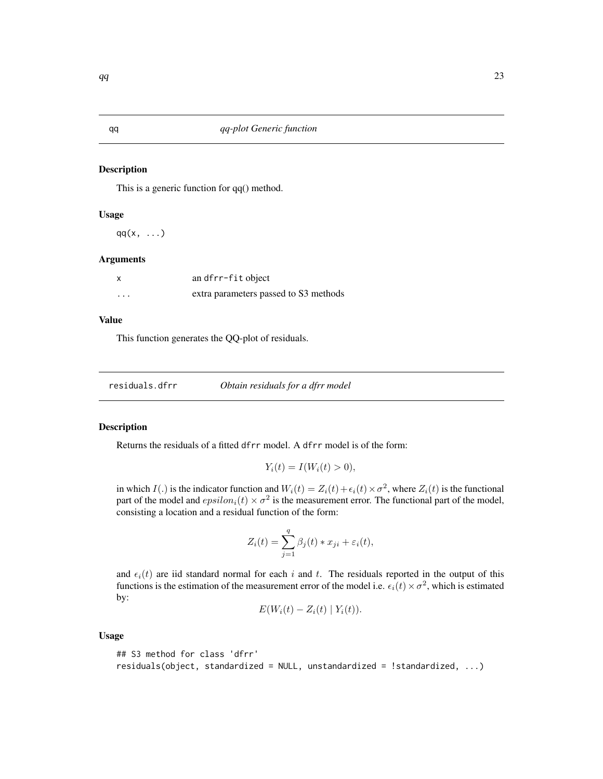<span id="page-22-0"></span>

# Description

This is a generic function for qq() method.

#### Usage

 $qq(x, \ldots)$ 

#### Arguments

|          | an dfrr-fit object                    |
|----------|---------------------------------------|
| $\cdots$ | extra parameters passed to S3 methods |

# Value

This function generates the QQ-plot of residuals.

<span id="page-22-1"></span>

| residuals.dfrr |  | Obtain residuals for a dfrr model |
|----------------|--|-----------------------------------|
|                |  |                                   |

# Description

Returns the residuals of a fitted dfrr model. A dfrr model is of the form:

$$
Y_i(t) = I(W_i(t) > 0),
$$

in which  $I(.)$  is the indicator function and  $W_i(t) = Z_i(t) + \epsilon_i(t) \times \sigma^2$ , where  $Z_i(t)$  is the functional part of the model and  $epsilon_i(t) \times \sigma^2$  is the measurement error. The functional part of the model, consisting a location and a residual function of the form:

$$
Z_i(t) = \sum_{j=1}^q \beta_j(t) * x_{ji} + \varepsilon_i(t),
$$

and  $\epsilon_i(t)$  are iid standard normal for each i and t. The residuals reported in the output of this functions is the estimation of the measurement error of the model i.e.  $\epsilon_i(t) \times \sigma^2$ , which is estimated by:

$$
E(W_i(t) - Z_i(t) | Y_i(t)).
$$

#### Usage

```
## S3 method for class 'dfrr'
residuals(object, standardized = NULL, unstandardized = !standardized, ...)
```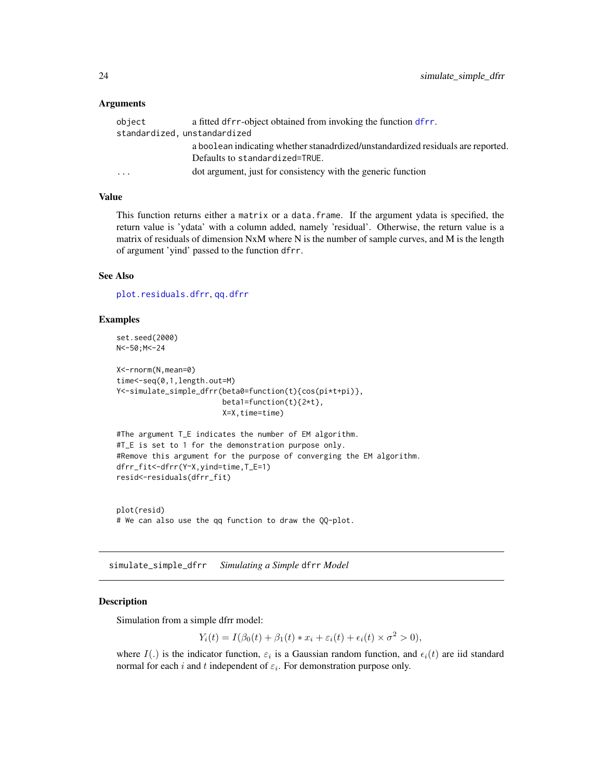#### <span id="page-23-0"></span>Arguments

| object | a fitted dfrr-object obtained from invoking the function dfrr.                   |
|--------|----------------------------------------------------------------------------------|
|        | standardized, unstandardized                                                     |
|        | a boolean indicating whether stanadrdized/unstandardized residuals are reported. |
|        | Defaults to standardized=TRUE.                                                   |
| .      | dot argument, just for consistency with the generic function                     |

#### Value

This function returns either a matrix or a data.frame. If the argument ydata is specified, the return value is 'ydata' with a column added, namely 'residual'. Otherwise, the return value is a matrix of residuals of dimension NxM where N is the number of sample curves, and M is the length of argument 'yind' passed to the function dfrr.

# See Also

[plot.residuals.dfrr](#page-19-1), [qq.dfrr](#page-19-2)

# Examples

```
set.seed(2000)
N<-50;M<-24
```

```
X<-rnorm(N,mean=0)
time<-seq(0,1,length.out=M)
Y<-simulate_simple_dfrr(beta0=function(t){cos(pi*t+pi)},
                        beta1=function(t){2*t},
                        X=X,time=time)
```

```
#The argument T_E indicates the number of EM algorithm.
#T_E is set to 1 for the demonstration purpose only.
#Remove this argument for the purpose of converging the EM algorithm.
dfrr_fit<-dfrr(Y~X,yind=time,T_E=1)
resid<-residuals(dfrr_fit)
```
plot(resid) # We can also use the qq function to draw the QQ-plot.

simulate\_simple\_dfrr *Simulating a Simple* dfrr *Model*

### Description

Simulation from a simple dfrr model:

$$
Y_i(t) = I(\beta_0(t) + \beta_1(t) * x_i + \varepsilon_i(t) + \epsilon_i(t) \times \sigma^2 > 0),
$$

where  $I(.)$  is the indicator function,  $\varepsilon_i$  is a Gaussian random function, and  $\epsilon_i(t)$  are iid standard normal for each i and t independent of  $\varepsilon_i$ . For demonstration purpose only.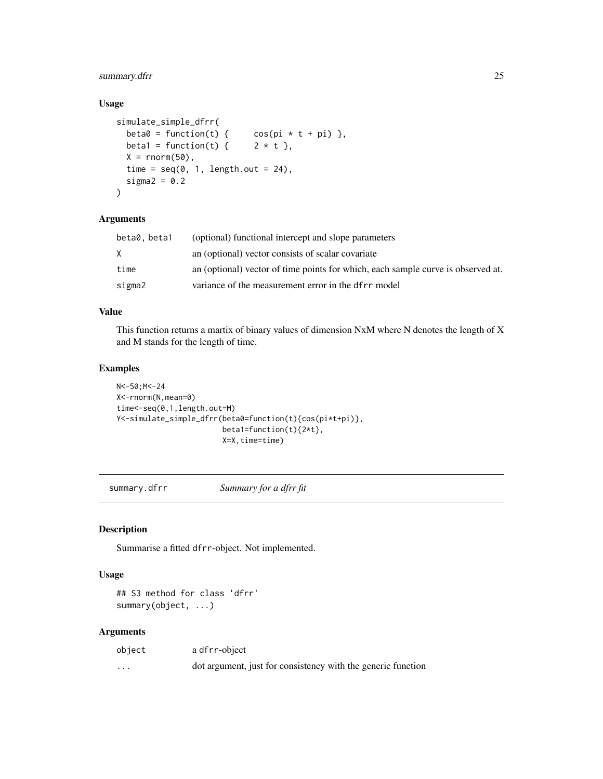# <span id="page-24-0"></span>summary.dfrr 25

# Usage

```
simulate_simple_dfrr(
 beta\theta = function(t) { cos(pi * t + pi) },
 beta1 = function(t) { 2 * t },
 X = rnorm(50),
 time = seq(0, 1, length.out = 24),
  sigma2 = 0.2)
```
# Arguments

| beta0, beta1 | (optional) functional intercept and slope parameters                             |
|--------------|----------------------------------------------------------------------------------|
| X.           | an (optional) vector consists of scalar covariate                                |
| time         | an (optional) vector of time points for which, each sample curve is observed at. |
| sigma2       | variance of the measurement error in the dfrr model                              |

#### Value

This function returns a martix of binary values of dimension NxM where N denotes the length of X and M stands for the length of time.

# Examples

```
N<-50;M<-24
X<-rnorm(N,mean=0)
time<-seq(0,1,length.out=M)
Y<-simulate_simple_dfrr(beta0=function(t){cos(pi*t+pi)},
                        beta1 = function(t){2*t},X=X,time=time)
```
<span id="page-24-1"></span>summary.dfrr *Summary for a dfrr fit*

### Description

Summarise a fitted dfrr-object. Not implemented.

# Usage

## S3 method for class 'dfrr' summary(object, ...)

# Arguments

| object   | a dfrr-object                                                |
|----------|--------------------------------------------------------------|
| $\cdots$ | dot argument, just for consistency with the generic function |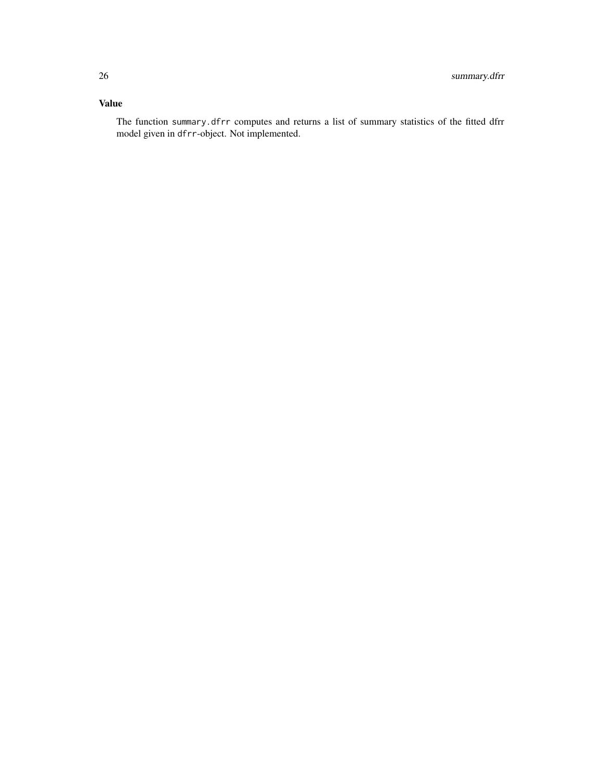# Value

The function summary.dfrr computes and returns a list of summary statistics of the fitted dfrr model given in dfrr-object. Not implemented.